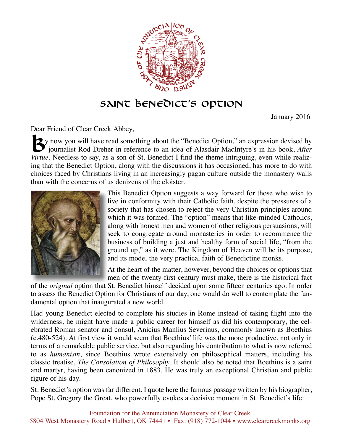

## **Saint Benedict's Option**

January 2016

Dear Friend of Clear Creek Abbey,

**2**y now you will have read something about the "Benedict Option," an expression devised by journalist Rod Dreher in reference to an idea of Alasdair MacIntyre's in his book, *After Virtue*. Needless to say, as a son of St. Benedict I find the theme intriguing, even while realizing that the Benedict Option, along with the discussions it has occasioned, has more to do with choices faced by Christians living in an increasingly pagan culture outside the monastery walls than with the concerns of us denizens of the cloister.



This Benedict Option suggests a way forward for those who wish to live in conformity with their Catholic faith, despite the pressures of a society that has chosen to reject the very Christian principles around which it was formed. The "option" means that like-minded Catholics, along with honest men and women of other religious persuasions, will seek to congregate around monasteries in order to recommence the business of building a just and healthy form of social life, "from the ground up," as it were. The Kingdom of Heaven will be its purpose, and its model the very practical faith of Benedictine monks.

At the heart of the matter, however, beyond the choices or options that men of the twenty-first century must make, there is the historical fact

of the *original* option that St. Benedict himself decided upon some fifteen centuries ago. In order to assess the Benedict Option for Christians of our day, one would do well to contemplate the fundamental option that inaugurated a new world.

Had young Benedict elected to complete his studies in Rome instead of taking flight into the wilderness, he might have made a public career for himself as did his contemporary, the celebrated Roman senator and consul, Anicius Manlius Severinus, commonly known as Boethius (c.480-524). At first view it would seem that Boethius' life was the more productive, not only in terms of a remarkable public service, but also regarding his contribution to what is now referred to as *humanism*, since Boethius wrote extensively on philosophical matters, including his classic treatise, *The Consolation of Philosophy*. It should also be noted that Boethius is a saint and martyr, having been canonized in 1883. He was truly an exceptional Christian and public figure of his day.

St. Benedict's option was far different. I quote here the famous passage written by his biographer, Pope St. Gregory the Great, who powerfully evokes a decisive moment in St. Benedict's life: